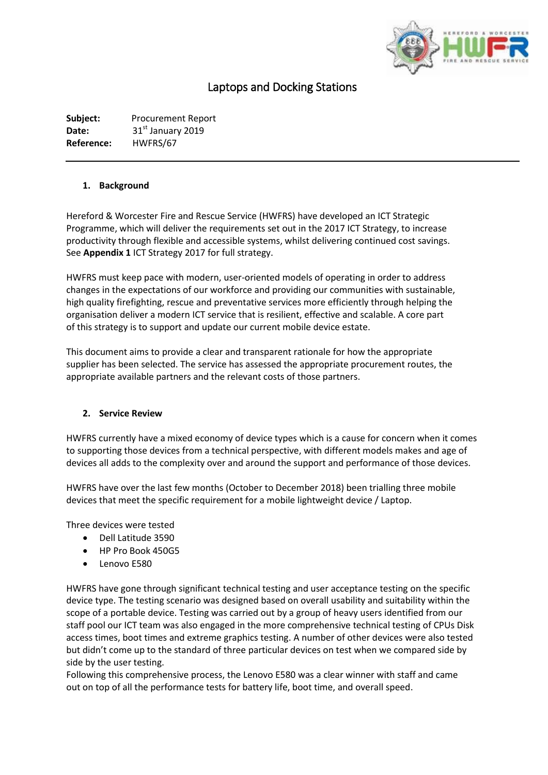

# Laptops and Docking Stations

**Subject:** Procurement Report Date: 31<sup>st</sup> January 2019 **Reference:** HWFRS/67

#### **1. Background**

Hereford & Worcester Fire and Rescue Service (HWFRS) have developed an ICT Strategic Programme, which will deliver the requirements set out in the 2017 ICT Strategy, to increase productivity through flexible and accessible systems, whilst delivering continued cost savings. See **Appendix 1** ICT Strategy 2017 for full strategy.

HWFRS must keep pace with modern, user-oriented models of operating in order to address changes in the expectations of our workforce and providing our communities with sustainable, high quality firefighting, rescue and preventative services more efficiently through helping the organisation deliver a modern ICT service that is resilient, effective and scalable. A core part of this strategy is to support and update our current mobile device estate.

This document aims to provide a clear and transparent rationale for how the appropriate supplier has been selected. The service has assessed the appropriate procurement routes, the appropriate available partners and the relevant costs of those partners.

#### **2. Service Review**

HWFRS currently have a mixed economy of device types which is a cause for concern when it comes to supporting those devices from a technical perspective, with different models makes and age of devices all adds to the complexity over and around the support and performance of those devices.

HWFRS have over the last few months (October to December 2018) been trialling three mobile devices that meet the specific requirement for a mobile lightweight device / Laptop.

Three devices were tested

- Dell Latitude 3590
- HP Pro Book 450G5
- Lenovo E580

HWFRS have gone through significant technical testing and user acceptance testing on the specific device type. The testing scenario was designed based on overall usability and suitability within the scope of a portable device. Testing was carried out by a group of heavy users identified from our staff pool our ICT team was also engaged in the more comprehensive technical testing of CPUs Disk access times, boot times and extreme graphics testing. A number of other devices were also tested but didn't come up to the standard of three particular devices on test when we compared side by side by the user testing.

Following this comprehensive process, the Lenovo E580 was a clear winner with staff and came out on top of all the performance tests for battery life, boot time, and overall speed.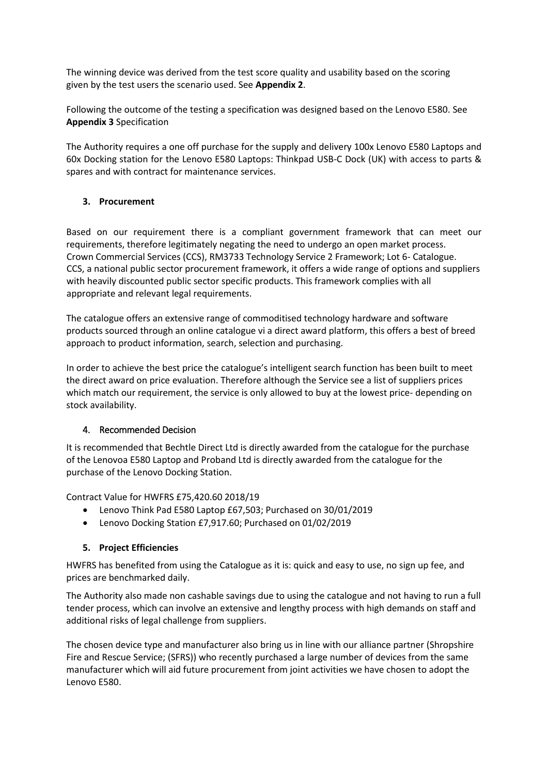The winning device was derived from the test score quality and usability based on the scoring given by the test users the scenario used. See **Appendix 2**.

Following the outcome of the testing a specification was designed based on the Lenovo E580. See **Appendix 3** Specification

The Authority requires a one off purchase for the supply and delivery 100x Lenovo E580 Laptops and 60x Docking station for the Lenovo E580 Laptops: Thinkpad USB-C Dock (UK) with access to parts & spares and with contract for maintenance services.

## **3. Procurement**

Based on our requirement there is a compliant government framework that can meet our requirements, therefore legitimately negating the need to undergo an open market process. Crown Commercial Services (CCS), RM3733 Technology Service 2 Framework; Lot 6- Catalogue. CCS, a national public sector procurement framework, it offers a wide range of options and suppliers with heavily discounted public sector specific products. This framework complies with all appropriate and relevant legal requirements.

The catalogue offers an extensive range of commoditised technology hardware and software products sourced through an online catalogue vi a direct award platform, this offers a best of breed approach to product information, search, selection and purchasing.

In order to achieve the best price the catalogue's intelligent search function has been built to meet the direct award on price evaluation. Therefore although the Service see a list of suppliers prices which match our requirement, the service is only allowed to buy at the lowest price- depending on stock availability.

## 4. Recommended Decision

It is recommended that Bechtle Direct Ltd is directly awarded from the catalogue for the purchase of the Lenovoa E580 Laptop and Proband Ltd is directly awarded from the catalogue for the purchase of the Lenovo Docking Station.

Contract Value for HWFRS £75,420.60 2018/19

- Lenovo Think Pad E580 Laptop £67,503; Purchased on 30/01/2019
- Lenovo Docking Station £7,917.60; Purchased on 01/02/2019

## **5. Project Efficiencies**

HWFRS has benefited from using the Catalogue as it is: quick and easy to use, no sign up fee, and prices are benchmarked daily.

The Authority also made non cashable savings due to using the catalogue and not having to run a full tender process, which can involve an extensive and lengthy process with high demands on staff and additional risks of legal challenge from suppliers.

The chosen device type and manufacturer also bring us in line with our alliance partner (Shropshire Fire and Rescue Service; (SFRS)) who recently purchased a large number of devices from the same manufacturer which will aid future procurement from joint activities we have chosen to adopt the Lenovo E580.